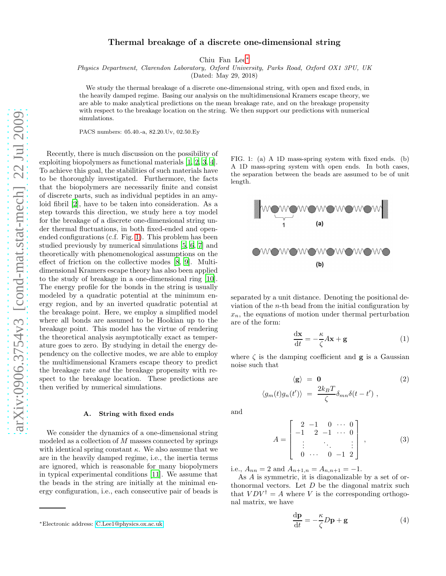# Thermal breakage of a discrete one-dimensional string

Chiu Fan Lee[∗](#page-0-0)

Physics Department, Clarendon Laboratory, Oxford University, Parks Road, Oxford OX1 3PU, UK

(Dated: May 29, 2018)

We study the thermal breakage of a discrete one-dimensional string, with open and fixed ends, in the heavily damped regime. Basing our analysis on the multidimensional Kramers escape theory, we are able to make analytical predictions on the mean breakage rate, and on the breakage propensity with respect to the breakage location on the string. We then support our predictions with numerical simulations.

PACS numbers: 05.40.-a, 82.20.Uv, 02.50.Ey

Recently, there is much discussion on the possibility of exploiting biopolymers as functional materials [\[1](#page-5-0), [2,](#page-5-1) [3](#page-5-2), [4\]](#page-5-3). To achieve this goal, the stabilities of such materials have to be thoroughly investigated. Furthermore, the facts that the biopolymers are necessarily finite and consist of discrete parts, such as individual peptides in an amyloid fibril [\[2\]](#page-5-1), have to be taken into consideration. As a step towards this direction, we study here a toy model for the breakage of a discrete one-dimensional string under thermal fluctuations, in both fixed-ended and openended configurations (c.f. Fig. [1\)](#page-0-1). This problem has been studied previously by numerical simulations [\[5](#page-5-4), [6](#page-5-5), [7](#page-5-6)] and theoretically with phenomenological assumptions on the effect of friction on the collective modes [\[8](#page-5-7), [9\]](#page-5-8). Multidimensional Kramers escape theory has also been applied to the study of breakage in a one-dimensional ring [\[10\]](#page-5-9). The energy profile for the bonds in the string is usually modeled by a quadratic potential at the minimum energy region, and by an inverted quadratic potential at the breakage point. Here, we employ a simplified model where all bonds are assumed to be Hookian up to the breakage point. This model has the virtue of rendering the theoretical analysis asymptotically exact as temperature goes to zero. By studying in detail the energy dependency on the collective modes, we are able to employ the multidimensional Kramers escape theory to predict the breakage rate and the breakage propensity with respect to the breakage location. These predictions are then verified by numerical simulations.

### A. String with fixed ends

We consider the dynamics of a one-dimensional string modeled as a collection of  $M$  masses connected by springs with identical spring constant  $\kappa$ . We also assume that we are in the heavily damped regime, i.e., the inertia terms are ignored, which is reasonable for many biopolymers in typical experimental conditions [\[11\]](#page-5-10). We assume that the beads in the string are initially at the minimal energy configuration, i.e., each consecutive pair of beads is

<span id="page-0-1"></span>FIG. 1: (a) A 1D mass-spring system with fixed ends. (b) A 1D mass-spring system with open ends. In both cases, the separation between the beads are assumed to be of unit length.



separated by a unit distance. Denoting the positional deviation of the n-th bead from the initial configuration by  $x_n$ , the equations of motion under thermal perturbation are of the form:

<span id="page-0-3"></span>
$$
\frac{\mathrm{d}\mathbf{x}}{\mathrm{d}t} = -\frac{\kappa}{\zeta}A\mathbf{x} + \mathbf{g}
$$
 (1)

where  $\zeta$  is the damping coefficient and **g** is a Gaussian noise such that

<span id="page-0-2"></span>
$$
\langle \mathbf{g} \rangle = \mathbf{0} \qquad (2)
$$
  

$$
\langle g_m(t)g_n(t') \rangle = \frac{2k_B T}{\zeta} \delta_{mn} \delta(t - t') ,
$$

and

<span id="page-0-4"></span>
$$
A = \begin{bmatrix} 2 & -1 & 0 & \cdots & 0 \\ -1 & 2 & -1 & \cdots & 0 \\ \vdots & & \ddots & & \vdots \\ 0 & \cdots & 0 & -1 & 2 \end{bmatrix}, \quad (3)
$$

i.e.,  $A_{nn} = 2$  and  $A_{n+1,n} = A_{n,n+1} = -1$ .

As A is symmetric, it is diagonalizable by a set of orthonormal vectors. Let  $D$  be the diagonal matrix such that  $VDV^{\dagger} = A$  where V is the corresponding orthogonal matrix, we have

$$
\frac{\mathrm{d}\mathbf{p}}{\mathrm{d}t} = -\frac{\kappa}{\zeta}D\mathbf{p} + \mathbf{g}
$$
 (4)

<span id="page-0-0"></span><sup>∗</sup>Electronic address: [C.Lee1@physics.ox.ac.uk](mailto:C.Lee1@physics.ox.ac.uk)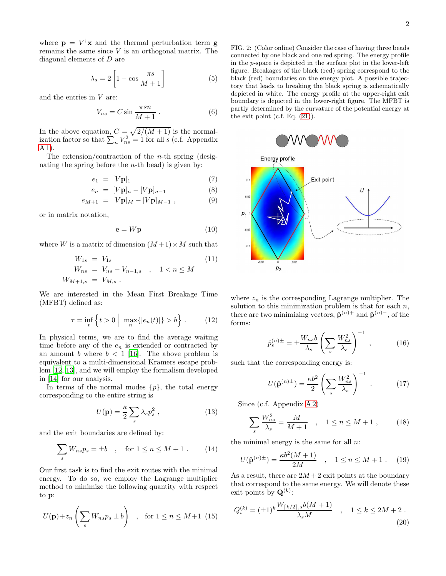where  $\mathbf{p} = V^{\dagger} \mathbf{x}$  and the thermal perturbation term **g** remains the same since  $V$  is an orthogonal matrix. The diagonal elements of D are

$$
\lambda_s = 2 \left[ 1 - \cos \frac{\pi s}{M+1} \right] \tag{5}
$$

and the entries in V are:

$$
V_{ns} = C \sin \frac{\pi s n}{M+1} . \tag{6}
$$

In the above equation,  $C = \sqrt{2/(M+1)}$  is the normalization factor so that  $\sum_n V_{ns}^2 = 1$  for all s (c.f. Appendix [A 1\)](#page-4-0).

The extension/contraction of the *n*-th spring (designating the spring before the  $n$ -th bead) is given by:

$$
e_1 = [V\mathbf{p}]_1 \tag{7}
$$

$$
e_n = [V\mathbf{p}]_n - [V\mathbf{p}]_{n-1} \tag{8}
$$

$$
e_{M+1} = [V\mathbf{p}]_M - [V\mathbf{p}]_{M-1} , \qquad (9)
$$

or in matrix notation,

$$
\mathbf{e} = W\mathbf{p} \tag{10}
$$

where W is a matrix of dimension  $(M+1) \times M$  such that

<span id="page-1-1"></span>
$$
W_{1s} = V_{1s}
$$
  
\n
$$
W_{ns} = V_{ns} - V_{n-1,s} \quad , \quad 1 < n \le M
$$
  
\n
$$
W_{M+1,s} = V_{M,s} \quad . \tag{11}
$$

We are interested in the Mean First Breakage Time (MFBT) defined as:

$$
\tau = \inf_{t} \left\{ t > 0 \mid \max_{n} \{|e_n(t)|\} > b \right\}.
$$
 (12)

In physical terms, we are to find the average waiting time before any of the  $e_n$  is extended or contracted by an amount b where  $b < 1$  [\[16](#page-5-11)]. The above problem is equivalent to a multi-dimensional Kramers escape problem [\[12,](#page-5-12) [13\]](#page-5-13), and we will employ the formalism developed in [\[14](#page-5-14)] for our analysis.

In terms of the normal modes  $\{p\}$ , the total energy corresponding to the entire string is

$$
U(\mathbf{p}) = \frac{\kappa}{2} \sum_{s} \lambda_{s} p_{s}^{2} , \qquad (13)
$$

and the exit boundaries are defined by:

$$
\sum_{s} W_{ns} p_s = \pm b \quad , \quad \text{for } 1 \le n \le M + 1 . \tag{14}
$$

Our first task is to find the exit routes with the minimal energy. To do so, we employ the Lagrange multiplier method to minimize the following quantity with respect to p:

$$
U(\mathbf{p}) + z_n \left(\sum_s W_{ns} p_s \pm b\right) \quad , \quad \text{for } 1 \le n \le M+1 \tag{15}
$$

<span id="page-1-0"></span>FIG. 2: (Color online) Consider the case of having three beads connected by one black and one red spring. The energy profile in the p-space is depicted in the surface plot in the lower-left figure. Breakages of the black (red) spring correspond to the black (red) boundaries on the energy plot. A possible trajectory that leads to breaking the black spring is schematically depicted in white. The energy profile at the upper-right exit boundary is depicted in the lower-right figure. The MFBT is partly determined by the curvature of the potential energy at the exit point (c.f. Eq.  $(21)$ ).



where  $z_n$  is the corresponding Lagrange multiplier. The solution to this minimization problem is that for each  $n$ , there are two minimizing vectors,  $\hat{\mathbf{p}}^{(n)+}$  and  $\hat{\mathbf{p}}^{(n)-}$ , of the forms:

$$
\hat{p}_s^{(n)\pm} = \pm \frac{W_{ns}b}{\lambda_s} \left(\sum_s \frac{W_{ns}^2}{\lambda_s}\right)^{-1},\tag{16}
$$

such that the corresponding energy is:

$$
U(\hat{\mathbf{p}}^{(n)\pm}) = \frac{\kappa b^2}{2} \left( \sum_s \frac{W_{ns}^2}{\lambda_s} \right)^{-1} . \tag{17}
$$

Since (c.f. Appendix [A 2\)](#page-4-1)

$$
\sum_{s} \frac{W_{ns}^2}{\lambda_s} = \frac{M}{M+1} \quad , \quad 1 \le n \le M+1 \; , \tag{18}
$$

the minimal energy is the same for all  $n$ .

$$
U(\hat{\mathbf{p}}^{(n)\pm}) = \frac{\kappa b^2 (M+1)}{2M} \quad , \quad 1 \le n \le M+1 \ . \tag{19}
$$

As a result, there are  $2M + 2$  exit points at the boundary that correspond to the same energy. We will denote these exit points by  $\mathbf{Q}^{(k)}$ :

$$
Q_s^{(k)} = (\pm 1)^k \frac{W_{\lceil k/2 \rceil, s} b(M+1)}{\lambda_s M} \quad , \quad 1 \le k \le 2M + 2 \; . \tag{20}
$$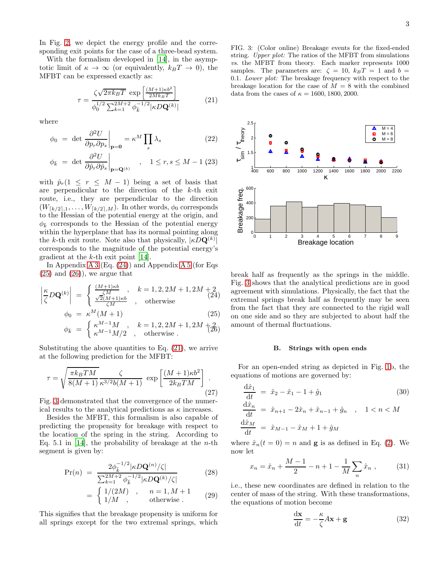In Fig. [2,](#page-1-0) we depict the energy profile and the corresponding exit points for the case of a three-bead system.

With the formalism developed in [\[14\]](#page-5-14), in the asymptotic limit of  $\kappa \to \infty$  (or equivalently,  $k_BT \to 0$ ), the MFBT can be expressed exactly as:

<span id="page-2-0"></span>
$$
\tau = \frac{\zeta \sqrt{2\pi k_B T}}{\phi_0^{1/2} \sum_{k=1}^{2M+2} \phi_k^{-1/2} |\kappa D \mathbf{Q}^{(k)}|} \tag{21}
$$

where

<span id="page-2-4"></span>
$$
\phi_0 = \det \left. \frac{\partial^2 U}{\partial p_r \partial p_s} \right|_{\mathbf{p} = \mathbf{0}} = \kappa^M \prod_s \lambda_s \tag{22}
$$

$$
\phi_{\bar{k}} = \left. \det \left. \frac{\partial^2 U}{\partial \hat{p}_r \partial \hat{p}_s} \right|_{\mathbf{p} = \mathbf{Q}^{(k)}} \quad , \quad 1 \le r, s \le M - 1 \tag{23}
$$

with  $\hat{p}_r(1 \leq r \leq M-1)$  being a set of basis that are perpendicular to the direction of the k-th exit route, i.e., they are perpendicular to the direction  $(W_{\lceil k/2 \rceil,1}, \ldots, W_{\lceil k/2 \rceil,M})$ . In other words,  $\phi_0$  corresponds to the Hessian of the potential energy at the origin, and  $\phi_{\bar{k}}$  corresponds to the Hessian of the potential energy within the hyperplane that has its normal pointing along the k-th exit route. Note also that physically,  $|\kappa D \mathbf{Q}^{(k)}|$ corresponds to the magnitude of the potential energy's gradient at the k-th exit point [\[14](#page-5-14)].

In Appendix [A 3](#page-4-2) (Eq.  $(24)$ ) and Appendix [A 5](#page-4-3) (for Eqs.  $(25)$  and  $(26)$ , we argue that

<span id="page-2-1"></span>
$$
\left|\frac{\kappa}{\zeta}D\mathbf{Q}^{(k)}\right| = \begin{cases} \frac{(M+1)\kappa b}{\zeta M}, & k = 1, 2, 2M+1, 2M+2\\ \frac{\sqrt{2}(M+1)\kappa b}{\zeta M}, & \text{otherwise} \end{cases}
$$
\n
$$
\phi_0 = \kappa^M(M+1)
$$
\n(25)

$$
\phi_{\bar{k}} = \begin{cases} \kappa^{M-1}M, & k = 1, 2, 2M + 1, 2M + 2, \\ \kappa^{M-1}M/2, & \text{otherwise} \end{cases}
$$

Substituting the above quantities to Eq. [\(21\)](#page-2-0), we arrive at the following prediction for the MFBT:

$$
\tau = \sqrt{\frac{\pi k_B T M}{8(M+1)}} \frac{\zeta}{\kappa^{3/2} b(M+1)} \exp\left[\frac{(M+1)\kappa b^2}{2k_B T M}\right].
$$
\n(27)

Fig. [3](#page-2-2) demonstrated that the convergence of the numerical results to the analytical predictions as  $\kappa$  increases.

Besides the MFBT, this formalism is also capable of predicting the propensity for breakage with respect to the location of the spring in the string. According to Eq. 5.1 in [\[14](#page-5-14)], the probability of breakage at the *n*-th segment is given by:

<span id="page-2-3"></span>
$$
Pr(n) = \frac{2\phi_{\bar{k}}^{-1/2} |\kappa D \mathbf{Q}^{(n)} / \zeta|}{\sum_{k=1}^{2M+2} \phi_{\bar{k}}^{-1/2} |\kappa D \mathbf{Q}^{(k)} / \zeta|}
$$
(28)

$$
= \begin{cases} 1/(2M) & , & n=1, M+1 \\ 1/M & , & \text{otherwise} \end{cases}
$$
 (29)

This signifies that the breakage propensity is uniform for all springs except for the two extremal springs, which

<span id="page-2-2"></span>FIG. 3: (Color online) Breakage events for the fixed-ended string. Upper plot: The ratios of the MFBT from simulations vs. the MFBT from theory. Each marker represents 1000 samples. The parameters are:  $\zeta = 10$ ,  $k_BT = 1$  and  $b =$ 0.1. Lower plot: The breakage frequency with respect to the breakage location for the case of  $M = 8$  with the combined data from the cases of  $\kappa = 1600, 1800, 2000$ .



break half as frequently as the springs in the middle. Fig. [3](#page-2-2) shows that the analytical predictions are in good agreement with simulations. Physically, the fact that the extremal springs break half as frequently may be seen from the fact that they are connected to the rigid wall on one side and so they are subjected to about half the amount of thermal fluctuations.

### B. Strings with open ends

For an open-ended string as depicted in Fig. [1b](#page-0-1), the equations of motions are governed by:

$$
\frac{d\hat{x}_1}{dt} = \hat{x}_2 - \hat{x}_1 - 1 + \hat{g}_1
$$
(30)  

$$
\frac{d\hat{x}_n}{dt} = \hat{x}_{n+1} - 2\hat{x}_n + \hat{x}_{n-1} + \hat{g}_n , \quad 1 < n < M
$$
  

$$
\frac{d\hat{x}_M}{dt} = \hat{x}_{M-1} - \hat{x}_M + 1 + \hat{g}_M
$$

where  $\hat{x}_n(t=0) = n$  and **g** is as defined in Eq. [\(2\)](#page-0-2). We now let

$$
x_n = \hat{x}_n + \frac{M-1}{2} - n + 1 - \frac{1}{M} \sum_n \hat{x}_n , \qquad (31)
$$

i.e., these new coordinates are defined in relation to the center of mass of the string. With these transformations, the equations of motion become

$$
\frac{\mathrm{d}\mathbf{x}}{\mathrm{d}t} = -\frac{\kappa}{\zeta}A\mathbf{x} + \mathbf{g}
$$
 (32)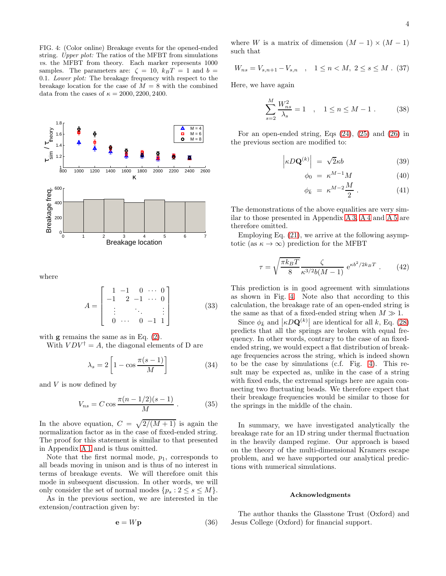<span id="page-3-0"></span>FIG. 4: (Color online) Breakage events for the opened-ended string. Upper plot: The ratios of the MFBT from simulations vs. the MFBT from theory. Each marker represents 1000 samples. The parameters are:  $\zeta = 10$ ,  $k_BT = 1$  and  $b =$ 0.1. Lower plot: The breakage frequency with respect to the breakage location for the case of  $M = 8$  with the combined data from the cases of  $\kappa = 2000, 2200, 2400$ .



where

<span id="page-3-1"></span>
$$
A = \begin{bmatrix} 1 & -1 & 0 & \cdots & 0 \\ -1 & 2 & -1 & \cdots & 0 \\ \vdots & & \ddots & & \vdots \\ 0 & \cdots & 0 & -1 & 1 \end{bmatrix}
$$
 (33)

with  $g$  remains the same as in Eq.  $(2)$ .

With  $VDV^{\dagger} = A$ , the diagonal elements of D are

$$
\lambda_s = 2 \left[ 1 - \cos \frac{\pi (s - 1)}{M} \right] \tag{34}
$$

and  $V$  is now defined by

$$
V_{ns} = C \cos \frac{\pi (n - 1/2)(s - 1)}{M} \,. \tag{35}
$$

In the above equation,  $C = \sqrt{2/(M+1)}$  is again the normalization factor as in the case of fixed-ended string. The proof for this statement is similar to that presented in Appendix [A 1](#page-4-0) and is thus omitted.

Note that the first normal mode,  $p_1$ , corresponds to all beads moving in unison and is thus of no interest in terms of breakage events. We will therefore omit this mode in subsequent discussion. In other words, we will only consider the set of normal modes  $\{p_s : 2 \le s \le M\}.$ 

As in the previous section, we are interested in the extension/contraction given by:

$$
\mathbf{e} = W\mathbf{p} \tag{36}
$$

where W is a matrix of dimension  $(M-1) \times (M-1)$ such that

$$
W_{ns} = V_{s,n+1} - V_{s,n} \quad , \quad 1 \le n < M, \ 2 \le s \le M \quad (37)
$$

Here, we have again

$$
\sum_{s=2}^{M} \frac{W_{ns}^2}{\lambda_s} = 1 \quad , \quad 1 \le n \le M - 1 \; . \tag{38}
$$

For an open-ended string, Eqs [\(24\)](#page-2-1), [\(25\)](#page-2-1) and [\(26\)](#page-2-1) in the previous section are modified to:

$$
\left| \kappa D \mathbf{Q}^{(k)} \right| = \sqrt{2} \kappa b \tag{39}
$$

$$
\phi_0 = \kappa^{M-1} M \tag{40}
$$

$$
\phi_{\bar{k}} = \kappa^{M-2} \frac{M}{2} \,. \tag{41}
$$

The demonstrations of the above equalities are very similar to those presented in Appendix [A 3,](#page-4-2) [A 4](#page-4-4) and [A 5](#page-4-3) are therefore omitted.

Employing Eq. [\(21\)](#page-2-0), we arrive at the following asymptotic (as  $\kappa \to \infty$ ) prediction for the MFBT

$$
\tau = \sqrt{\frac{\pi k_B T}{8}} \frac{\zeta}{\kappa^{3/2} b(M-1)} e^{\kappa b^2 / 2k_B T} . \tag{42}
$$

This prediction is in good agreement with simulations as shown in Fig. [4.](#page-3-0) Note also that according to this calculation, the breakage rate of an open-ended string is the same as that of a fixed-ended string when  $M \gg 1$ .

Since  $\phi_{\bar{k}}$  and  $\left|\kappa D\mathbf{Q}^{(k)}\right|$  are identical for all k, Eq. [\(28\)](#page-2-3) predicts that all the springs are broken with equal frequency. In other words, contrary to the case of an fixedended string, we would expect a flat distribution of breakage frequencies across the string, which is indeed shown to be the case by simulations (c.f. Fig. [4\)](#page-3-0). This result may be expected as, unlike in the case of a string with fixed ends, the extremal springs here are again connecting two fluctuating beads. We therefore expect that their breakage frequencies would be similar to those for the springs in the middle of the chain.

In summary, we have investigated analytically the breakage rate for an 1D string under thermal fluctuation in the heavily damped regime. Our approach is based on the theory of the multi-dimensional Kramers escape problem, and we have supported our analytical predictions with numerical simulations.

### Acknowledgments

The author thanks the Glasstone Trust (Oxford) and Jesus College (Oxford) for financial support.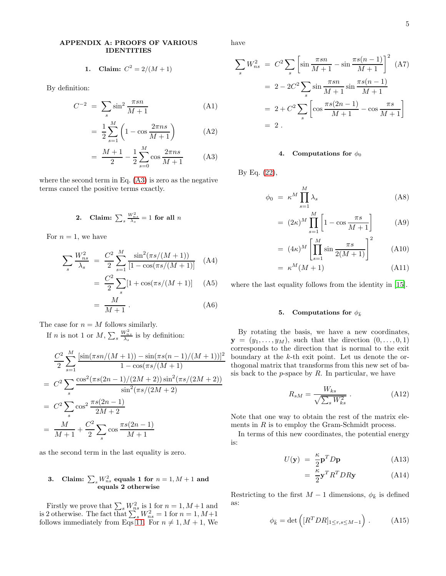## APPENDIX A: PROOFS OF VARIOUS IDENTITIES

<span id="page-4-0"></span>1. Claim: 
$$
C^2 = 2/(M+1)
$$

By definition:

<span id="page-4-5"></span>
$$
C^{-2} = \sum_{s} \sin^2 \frac{\pi s n}{M+1}
$$
 (A1)

$$
= \frac{1}{2} \sum_{s=1}^{M} \left( 1 - \cos \frac{2\pi n s}{M+1} \right) \tag{A2}
$$

$$
= \frac{M+1}{2} - \frac{1}{2} \sum_{s=0}^{M} \cos \frac{2\pi ns}{M+1}
$$
 (A3)

where the second term in Eq. [\(A3\)](#page-4-5) is zero as the negative terms cancel the positive terms exactly.

<span id="page-4-1"></span>2. Claim: 
$$
\sum_{s} \frac{W_{ns}^2}{\lambda_s} = 1 \text{ for all } n
$$

For  $n = 1$ , we have

$$
\sum_{s} \frac{W_{ns}^2}{\lambda_s} = \frac{C^2}{2} \sum_{s=1}^{M} \frac{\sin^2(\pi s/(M+1))}{[1 - \cos(\pi s/(M+1))]}
$$
 (A4)  
= 
$$
\frac{C^2}{2} \sum_{s} [1 + \cos(\pi s/(M+1))]
$$
 (A5)

$$
= \frac{M}{M+1} \,. \tag{A6}
$$

The case for  $n = M$  follows similarly.

If *n* is not 1 or  $M, \sum_s$  $\frac{W_{ns}^2}{\lambda_s}$  is by definition:

$$
\frac{C^2}{2} \sum_{s=1}^{M} \frac{[\sin(\pi s n/(M+1)) - \sin(\pi s (n-1)/(M+1))]^2}{1 - \cos(\pi s/(M+1))}
$$
  
=  $C^2 \sum_{s} \frac{\cos^2(\pi s (2n-1)/(2M+2)) \sin^2(\pi s/(2M+2))}{\sin^2(\pi s/(2M+2))}$   
=  $C^2 \sum_{s} \cos^2 \frac{\pi s (2n-1)}{2M+2}$   
=  $\frac{M}{M+1} + \frac{C^2}{2} \sum_{s} \cos \frac{\pi s (2n-1)}{M+1}$ 

as the second term in the last equality is zero.

# <span id="page-4-2"></span>3. Claim:  $\sum_{s} W_{ns}^2$  equals 1 for  $n = 1, M + 1$  and equals 2 otherwise

Firstly we prove that  $\sum_{s} W_{ns}^2$  is 1 for  $n = 1, M+1$  and is 2 otherwise. The fact that  $\sum_{s} W_{ns}^2 = 1$  for  $n = 1, M+1$ follows immediately from Eqs [11.](#page-1-1) For  $n \neq 1, M + 1$ , We have

$$
\sum_{s} W_{ns}^{2} = C^{2} \sum_{s} \left[ \sin \frac{\pi sn}{M+1} - \sin \frac{\pi s (n-1)}{M+1} \right]^{2} (A7)
$$
  
=  $2 - 2C^{2} \sum_{s} \sin \frac{\pi sn}{M+1} \sin \frac{\pi s (n-1)}{M+1}$   
=  $2 + C^{2} \sum_{s} \left[ \cos \frac{\pi s (2n-1)}{M+1} - \cos \frac{\pi s}{M+1} \right]$   
= 2.

## <span id="page-4-4"></span>4. Computations for  $\phi_0$

By Eq. [\(22\)](#page-2-4),

$$
\phi_0 = \kappa^M \prod_{s=1}^M \lambda_s \tag{A8}
$$

$$
= (2\kappa)^M \prod_{s=1}^M \left[ 1 - \cos \frac{\pi s}{M+1} \right] \tag{A9}
$$

$$
= (4\kappa)^M \left[ \prod_{s=1}^M \sin \frac{\pi s}{2(M+1)} \right]^2 \tag{A10}
$$

$$
= \kappa^M(M+1) \tag{A11}
$$

where the last equality follows from the identity in [\[15](#page-5-15)].

#### <span id="page-4-3"></span>5. Computations for  $\phi_{\bar{k}}$

By rotating the basis, we have a new coordinates,  $\mathbf{y} = (y_1, \ldots, y_M)$ , such that the direction  $(0, \ldots, 0, 1)$ corresponds to the direction that is normal to the exit boundary at the k-th exit point. Let us denote the orthogonal matrix that transforms from this new set of basis back to the  $p$ -space by  $R$ . In particular, we have

$$
R_{sM} = \frac{W_{ks}}{\sqrt{\sum_{s} W_{ks}^2}} \tag{A12}
$$

Note that one way to obtain the rest of the matrix elements in  $R$  is to employ the Gram-Schmidt process.

In terms of this new coordinates, the potential energy is:

$$
U(\mathbf{y}) = \frac{\kappa}{2} \mathbf{p}^T D \mathbf{p}
$$
 (A13)

$$
= \frac{\kappa}{2} \mathbf{y}^T R^T D R \mathbf{y} \tag{A14}
$$

Restricting to the first  $M-1$  dimensions,  $\phi_{\bar{k}}$  is defined as:

$$
\phi_{\bar{k}} = \det\left( [R^T D R]_{1 \le r, s \le M-1} \right). \tag{A15}
$$